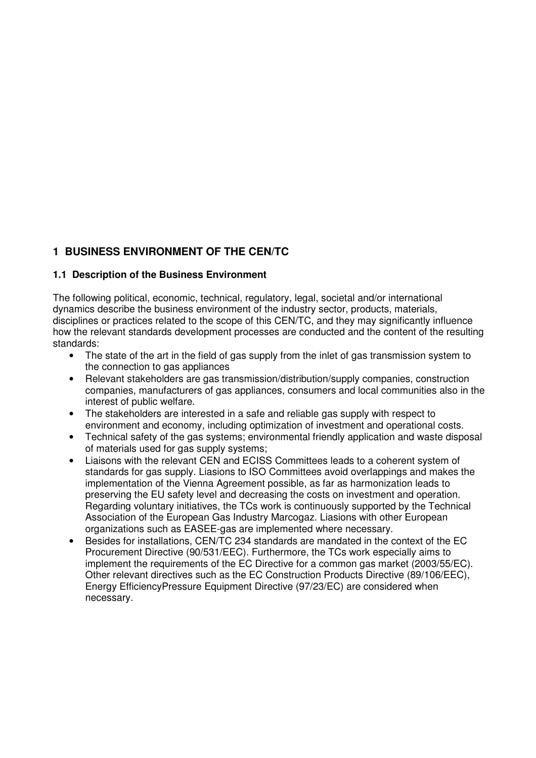# **1 BUSINESS ENVIRONMENT OF THE CEN/TC**

### **1.1 Description of the Business Environment**

The following political, economic, technical, regulatory, legal, societal and/or international dynamics describe the business environment of the industry sector, products, materials, disciplines or practices related to the scope of this CEN/TC, and they may significantly influence how the relevant standards development processes are conducted and the content of the resulting standards:

- The state of the art in the field of gas supply from the inlet of gas transmission system to the connection to gas appliances
- Relevant stakeholders are gas transmission/distribution/supply companies, construction companies, manufacturers of gas appliances, consumers and local communities also in the interest of public welfare.
- The stakeholders are interested in a safe and reliable gas supply with respect to environment and economy, including optimization of investment and operational costs.
- Technical safety of the gas systems; environmental friendly application and waste disposal of materials used for gas supply systems;
- Liaisons with the relevant CEN and ECISS Committees leads to a coherent system of standards for gas supply. Liasions to ISO Committees avoid overlappings and makes the implementation of the Vienna Agreement possible, as far as harmonization leads to preserving the EU safety level and decreasing the costs on investment and operation. Regarding voluntary initiatives, the TCs work is continuously supported by the Technical Association of the European Gas Industry Marcogaz. Liasions with other European organizations such as EASEE-gas are implemented where necessary.
- Besides for installations, CEN/TC 234 standards are mandated in the context of the EC Procurement Directive (90/531/EEC). Furthermore, the TCs work especially aims to implement the requirements of the EC Directive for a common gas market (2003/55/EC). Other relevant directives such as the EC Construction Products Directive (89/106/EEC), Energy EfficiencyPressure Equipment Directive (97/23/EC) are considered when necessary.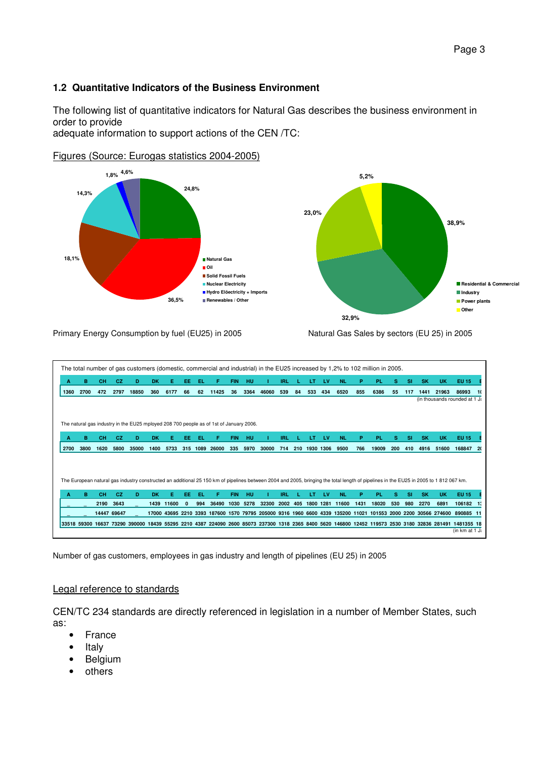## **1.2 Quantitative Indicators of the Business Environment**

The following list of quantitative indicators for Natural Gas describes the business environment in order to provide

adequate information to support actions of the CEN /TC:



Figures (Source: Eurogas statistics 2004-2005)

#### Primary Energy Consumption by fuel (EU25) in 2005 Natural Gas Sales by sectors (EU 25) in 2005

| A    | в           | <b>CH</b>   | CZ.  | D                                                                                      | <b>DK</b> | Е.    | EE  | EL.  | F.                                                                                                            | <b>FIN</b> | HU   |       | <b>IRL</b> |     | LT        | <b>LV</b> | NL        | P.   | <b>PL</b>                                                                                                                                                                             | s   | <b>SI</b> | <b>SK</b> | <b>UK</b> | <b>EU 15</b>                                                                                                                                |    |
|------|-------------|-------------|------|----------------------------------------------------------------------------------------|-----------|-------|-----|------|---------------------------------------------------------------------------------------------------------------|------------|------|-------|------------|-----|-----------|-----------|-----------|------|---------------------------------------------------------------------------------------------------------------------------------------------------------------------------------------|-----|-----------|-----------|-----------|---------------------------------------------------------------------------------------------------------------------------------------------|----|
| 1360 | 2700        | 472         | 2797 | 18850                                                                                  | 360       | 6177  | 66  | 62   | 11425                                                                                                         | 36         | 3364 | 46060 | 539        | 84  | 533       | 434       | 6520      | 855  | 6386                                                                                                                                                                                  | 55  | 117       | 1441      | 21963     | 86993                                                                                                                                       |    |
|      |             |             |      |                                                                                        |           |       |     |      |                                                                                                               |            |      |       |            |     |           |           |           |      |                                                                                                                                                                                       |     |           |           |           | (in thousands rounded at 1 J;                                                                                                               |    |
|      |             |             |      |                                                                                        |           |       |     |      |                                                                                                               |            |      |       |            |     |           |           |           |      |                                                                                                                                                                                       |     |           |           |           |                                                                                                                                             |    |
|      |             |             |      |                                                                                        |           |       |     |      |                                                                                                               |            |      |       |            |     |           |           |           |      |                                                                                                                                                                                       |     |           |           |           |                                                                                                                                             |    |
|      |             |             |      | The natural gas industry in the EU25 mployed 208 700 people as of 1st of January 2006. |           |       |     |      |                                                                                                               |            |      |       |            |     |           |           |           |      |                                                                                                                                                                                       |     |           |           |           |                                                                                                                                             |    |
| Α    | в           | <b>CH</b>   | CZ.  | D                                                                                      | <b>DK</b> |       | ЕΕ  | ΕL   |                                                                                                               | <b>FIN</b> | HU   |       | IRL        |     |           | <b>LV</b> | <b>NL</b> | P    | <b>PL</b>                                                                                                                                                                             | s   | SI        | <b>SK</b> | <b>UK</b> | <b>EU 15</b>                                                                                                                                |    |
| 2700 | 3800        | 1620        | 5800 | 35000                                                                                  | 1400      | 5733  | 315 | 1089 | 26000                                                                                                         | 335        | 5970 | 30000 | 714        | 210 | 1930 1306 |           | 9500      | 766  | 19009                                                                                                                                                                                 | 200 | 410       | 4916      | 51600     | 168847                                                                                                                                      | 20 |
|      |             |             |      |                                                                                        |           |       |     |      |                                                                                                               |            |      |       |            |     |           |           |           |      |                                                                                                                                                                                       |     |           |           |           |                                                                                                                                             |    |
|      |             |             |      |                                                                                        |           |       |     |      |                                                                                                               |            |      |       |            |     |           |           |           |      |                                                                                                                                                                                       |     |           |           |           |                                                                                                                                             |    |
|      |             |             |      |                                                                                        |           |       |     |      |                                                                                                               |            |      |       |            |     |           |           |           |      |                                                                                                                                                                                       |     |           |           |           |                                                                                                                                             |    |
|      |             |             |      |                                                                                        |           |       |     |      |                                                                                                               |            |      |       |            |     |           |           |           |      | The European natural gas industry constructed an additional 25 150 km of pipelines between 2004 and 2005, bringing the total length of pipelines in the EU25 in 2005 to 1 812 067 km. |     |           |           |           |                                                                                                                                             |    |
|      |             |             |      |                                                                                        |           |       |     |      |                                                                                                               |            |      |       |            |     |           |           |           |      |                                                                                                                                                                                       |     |           |           |           |                                                                                                                                             |    |
|      |             |             |      |                                                                                        |           |       |     |      |                                                                                                               |            |      |       |            |     |           |           |           |      |                                                                                                                                                                                       |     |           |           |           |                                                                                                                                             |    |
| A    | в           | <b>CH</b>   | CZ.  | D                                                                                      | <b>DK</b> | F.    | EE  | EL.  | F.                                                                                                            | <b>FIN</b> | HU   |       | <b>IRL</b> |     | LT        | <b>LV</b> | <b>NL</b> | P.   | <b>PL</b>                                                                                                                                                                             | s   | <b>SI</b> | <b>SK</b> | <b>UK</b> | EU 15                                                                                                                                       |    |
|      |             | 2190        | 3643 |                                                                                        | 1439      | 11600 |     | 994  | 36490                                                                                                         | 1030       | 5278 | 32300 | 2002       | 405 | 1800 1281 |           | 11600     | 1431 | 18020                                                                                                                                                                                 | 530 | 980       | 2270      | 6891      | 106182                                                                                                                                      |    |
|      |             | 14447 69647 |      |                                                                                        |           |       |     |      | 17000 43695 2210 3393 187600 1570 79795 205000 9316 1960 6600 4339 135200 11021 101553 2000 2200 30566 274600 |            |      |       |            |     |           |           |           |      |                                                                                                                                                                                       |     |           |           |           | 890885 11                                                                                                                                   |    |
|      | 33518 59300 |             |      |                                                                                        |           |       |     |      |                                                                                                               |            |      |       |            |     |           |           |           |      |                                                                                                                                                                                       |     |           |           |           | 16637 73290 390000 18439 55295 2210 4387 224090 2600 85073 237300 1318 2365 8400 5620 146800 12452 119573 2530 3180 32836 281491 1481355 18 |    |

Number of gas customers, employees in gas industry and length of pipelines (EU 25) in 2005

### Legal reference to standards

CEN/TC 234 standards are directly referenced in legislation in a number of Member States, such as:

- France
- **Italy**
- **Belgium**
- others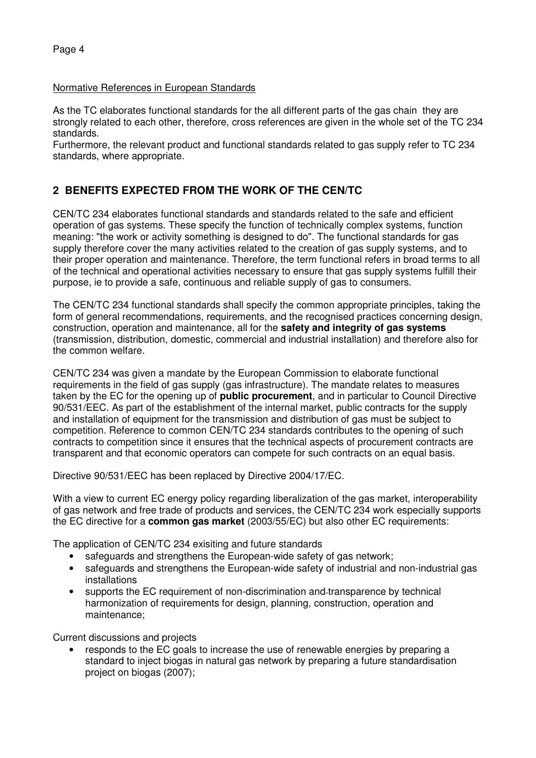### Normative References in European Standards

As the TC elaborates functional standards for the all different parts of the gas chain they are strongly related to each other, therefore, cross references are given in the whole set of the TC 234 standards.

Furthermore, the relevant product and functional standards related to gas supply refer to TC 234 standards, where appropriate.

# **2 BENEFITS EXPECTED FROM THE WORK OF THE CEN/TC**

CEN/TC 234 elaborates functional standards and standards related to the safe and efficient operation of gas systems. These specify the function of technically complex systems, function meaning: "the work or activity something is designed to do". The functional standards for gas supply therefore cover the many activities related to the creation of gas supply systems, and to their proper operation and maintenance. Therefore, the term functional refers in broad terms to all of the technical and operational activities necessary to ensure that gas supply systems fulfill their purpose, ie to provide a safe, continuous and reliable supply of gas to consumers.

The CEN/TC 234 functional standards shall specify the common appropriate principles, taking the form of general recommendations, requirements, and the recognised practices concerning design, construction, operation and maintenance, all for the **safety and integrity of gas systems** (transmission, distribution, domestic, commercial and industrial installation) and therefore also for the common welfare.

CEN/TC 234 was given a mandate by the European Commission to elaborate functional requirements in the field of gas supply (gas infrastructure). The mandate relates to measures taken by the EC for the opening up of **public procurement**, and in particular to Council Directive 90/531/EEC. As part of the establishment of the internal market, public contracts for the supply and installation of equipment for the transmission and distribution of gas must be subject to competition. Reference to common CEN/TC 234 standards contributes to the opening of such contracts to competition since it ensures that the technical aspects of procurement contracts are transparent and that economic operators can compete for such contracts on an equal basis.

Directive 90/531/EEC has been replaced by Directive 2004/17/EC.

With a view to current EC energy policy regarding liberalization of the gas market, interoperability of gas network and free trade of products and services, the CEN/TC 234 work especially supports the EC directive for a **common gas market** (2003/55/EC) but also other EC requirements:

The application of CEN/TC 234 exisiting and future standards

- safeguards and strengthens the European-wide safety of gas network;
- safeguards and strengthens the European-wide safety of industrial and non-industrial gas installations
- supports the EC requirement of non-discrimination and transparence by technical harmonization of requirements for design, planning, construction, operation and maintenance;

Current discussions and projects

• responds to the EC goals to increase the use of renewable energies by preparing a standard to inject biogas in natural gas network by preparing a future standardisation project on biogas (2007);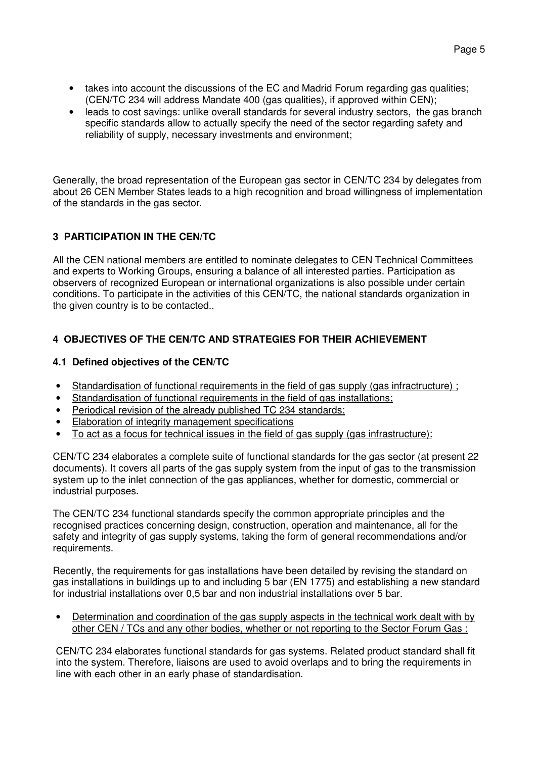- takes into account the discussions of the EC and Madrid Forum regarding gas qualities; (CEN/TC 234 will address Mandate 400 (gas qualities), if approved within CEN);
- leads to cost savings: unlike overall standards for several industry sectors, the gas branch specific standards allow to actually specify the need of the sector regarding safety and reliability of supply, necessary investments and environment;

Generally, the broad representation of the European gas sector in CEN/TC 234 by delegates from about 26 CEN Member States leads to a high recognition and broad willingness of implementation of the standards in the gas sector.

## **3 PARTICIPATION IN THE CEN/TC**

All the CEN national members are entitled to nominate delegates to CEN Technical Committees and experts to Working Groups, ensuring a balance of all interested parties. Participation as observers of recognized European or international organizations is also possible under certain conditions. To participate in the activities of this CEN/TC, the national standards organization in the given country is to be contacted..

## **4 OBJECTIVES OF THE CEN/TC AND STRATEGIES FOR THEIR ACHIEVEMENT**

## **4.1 Defined objectives of the CEN/TC**

- Standardisation of functional requirements in the field of gas supply (gas infractructure) ;
- Standardisation of functional requirements in the field of gas installations;
- Periodical revision of the already published TC 234 standards;
- Elaboration of integrity management specifications
- To act as a focus for technical issues in the field of gas supply (gas infrastructure):

CEN/TC 234 elaborates a complete suite of functional standards for the gas sector (at present 22 documents). It covers all parts of the gas supply system from the input of gas to the transmission system up to the inlet connection of the gas appliances, whether for domestic, commercial or industrial purposes.

The CEN/TC 234 functional standards specify the common appropriate principles and the recognised practices concerning design, construction, operation and maintenance, all for the safety and integrity of gas supply systems, taking the form of general recommendations and/or requirements.

Recently, the requirements for gas installations have been detailed by revising the standard on gas installations in buildings up to and including 5 bar (EN 1775) and establishing a new standard for industrial installations over 0,5 bar and non industrial installations over 5 bar.

• Determination and coordination of the gas supply aspects in the technical work dealt with by other CEN / TCs and any other bodies, whether or not reporting to the Sector Forum Gas :

CEN/TC 234 elaborates functional standards for gas systems. Related product standard shall fit into the system. Therefore, liaisons are used to avoid overlaps and to bring the requirements in line with each other in an early phase of standardisation.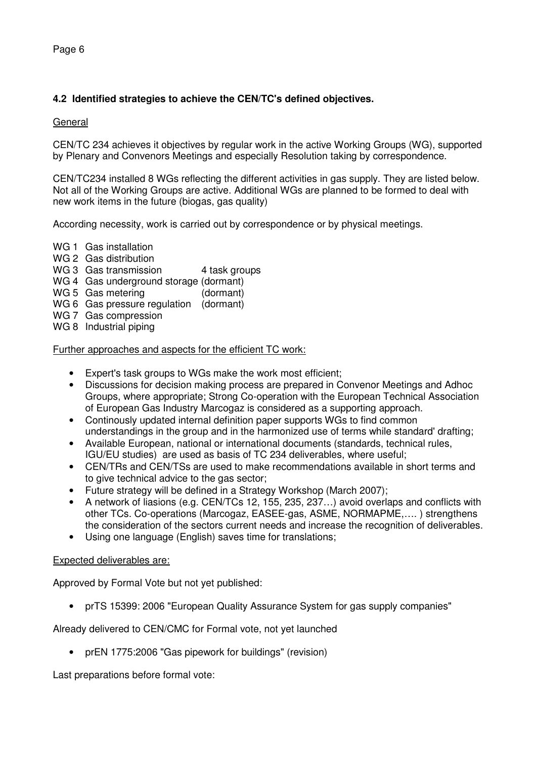## **4.2 Identified strategies to achieve the CEN/TC's defined objectives.**

### **General**

CEN/TC 234 achieves it objectives by regular work in the active Working Groups (WG), supported by Plenary and Convenors Meetings and especially Resolution taking by correspondence.

CEN/TC234 installed 8 WGs reflecting the different activities in gas supply. They are listed below. Not all of the Working Groups are active. Additional WGs are planned to be formed to deal with new work items in the future (biogas, gas quality)

According necessity, work is carried out by correspondence or by physical meetings.

- WG 1 Gas installation
- WG 2 Gas distribution
- WG 3 Gas transmission 4 task groups
- WG 4 Gas underground storage (dormant)
- WG 5 Gas metering (dormant)
- WG 6 Gas pressure regulation (dormant)
- WG 7 Gas compression
- WG 8 Industrial piping

Further approaches and aspects for the efficient TC work:

- Expert's task groups to WGs make the work most efficient;
- Discussions for decision making process are prepared in Convenor Meetings and Adhoc Groups, where appropriate; Strong Co-operation with the European Technical Association of European Gas Industry Marcogaz is considered as a supporting approach.
- Continously updated internal definition paper supports WGs to find common understandings in the group and in the harmonized use of terms while standard' drafting;
- Available European, national or international documents (standards, technical rules, IGU/EU studies) are used as basis of TC 234 deliverables, where useful;
- CEN/TRs and CEN/TSs are used to make recommendations available in short terms and to give technical advice to the gas sector;
- Future strategy will be defined in a Strategy Workshop (March 2007);
- A network of liasions (e.g. CEN/TCs 12, 155, 235, 237…) avoid overlaps and conflicts with other TCs. Co-operations (Marcogaz, EASEE-gas, ASME, NORMAPME,…. ) strengthens the consideration of the sectors current needs and increase the recognition of deliverables.
- Using one language (English) saves time for translations;

#### Expected deliverables are:

Approved by Formal Vote but not yet published:

• prTS 15399: 2006 "European Quality Assurance System for gas supply companies"

Already delivered to CEN/CMC for Formal vote, not yet launched

• prEN 1775:2006 "Gas pipework for buildings" (revision)

Last preparations before formal vote: